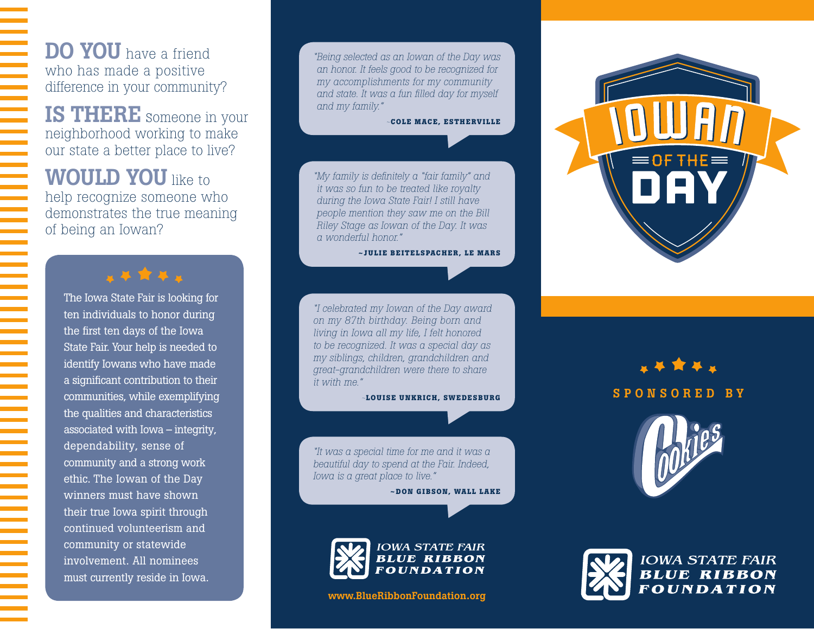DO YOU have a friend who has made a positive difference in your community?

IS THERE someone in your neighborhood working to make our state a better place to live?

**WOULD YOU** like to help recognize someone who demonstrates the true meaning of being an Iowan?

#### ■ 基 食 基 ■

The Iowa State Fair is looking for ten individuals to honor during the first ten days of the Iowa State Fair. Your help is needed to identify Iowans who have made a significant contribution to their communities, while exemplifying the qualities and characteristics associated with Iowa – integrity, dependability, sense of community and a strong work ethic. The Iowan of the Day winners must have shown their true Iowa spirit through continued volunteerism and community or statewide involvement. All nominees must currently reside in Iowa.

*"Being selected as an Iowan of the Day was an honor. It feels good to be recognized for my accomplishments for my community and state. It was a fun filled day for myself and my family."* 

*~***COLE MACE, ESTHERVILLE**

*"My family is definitely a "fair family" and it was so fun to be treated like royalty during the Iowa State Fair! I still have people mention they saw me on the Bill Riley Stage as Iowan of the Day. It was a wonderful honor."* 

#### **~JULIE BEITELSPACHER, LE MARS**

*"I celebrated my Iowan of the Day award on my 87th birthday. Being born and living in Iowa all my life, I felt honored to be recognized. It was a special day as my siblings, children, grandchildren and great-grandchildren were there to share it with me."* 

*~***LOUISE UNKRICH, SWEDESBURG**

*"It was a special time for me and it was a beautiful day to spend at the Fair. Indeed, Iowa is a great place to live."* 

**~DON GIBSON, WALL LAKE**



www.BlueRibbonFoundation.org



SPONSORED BY